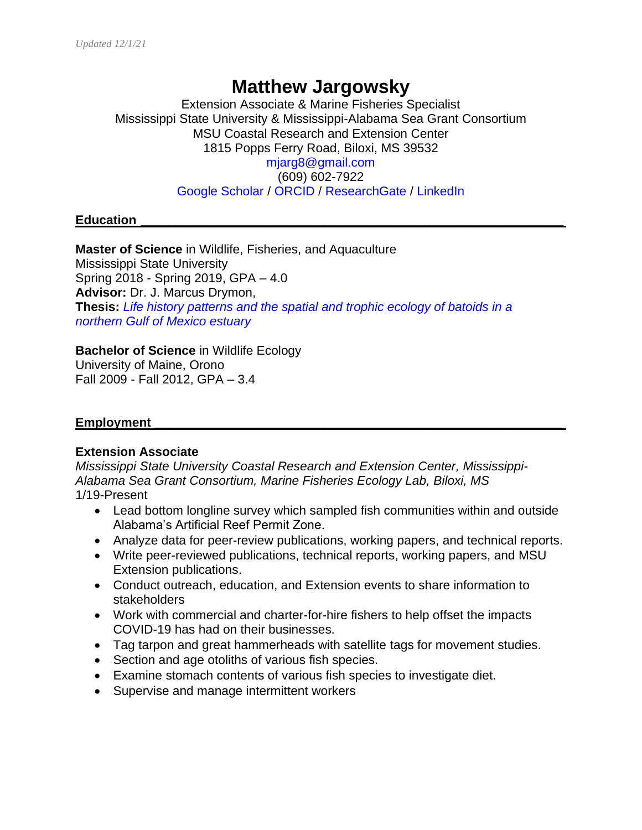# **Matthew Jargowsky**

Extension Associate & Marine Fisheries Specialist Mississippi State University & Mississippi-Alabama Sea Grant Consortium MSU Coastal Research and Extension Center 1815 Popps Ferry Road, Biloxi, MS 39532 [mjarg8@gmail.com](mailto:mjarg8@gmail.com) (609) 602-7922 [Google Scholar](https://scholar.google.com/citations?user=lLgu2BwAAAAJ&hl=en&oi=ao) / [ORCID](https://orcid.org/0000-0001-5230-9235) / [ResearchGate](https://www.researchgate.net/profile/Matthew_Jargowsky) / [LinkedIn](https://www.linkedin.com/in/matthew-jargowsky-108123100/)

#### **Education \_\_\_\_\_\_\_\_\_\_\_\_\_\_\_\_\_\_\_\_\_\_\_\_\_\_\_\_\_\_\_\_\_\_\_\_\_\_\_\_\_\_\_\_\_\_\_\_\_\_\_\_\_\_\_\_\_\_\_\_**

**Master of Science** in Wildlife, Fisheries, and Aquaculture Mississippi State University Spring 2018 - Spring 2019, GPA – 4.0 **Advisor:** Dr. J. Marcus Drymon, **Thesis:** *[Life history patterns and the spatial and trophic ecology of batoids in a](https://drive.google.com/file/d/1VrAYxHPTjJkbmkAf6_KgJHEHuCYXxN1V/view?usp=sharing)  [northern Gulf of Mexico estuary](https://drive.google.com/file/d/1VrAYxHPTjJkbmkAf6_KgJHEHuCYXxN1V/view?usp=sharing)*

**Bachelor of Science** in Wildlife Ecology

University of Maine, Orono Fall 2009 - Fall 2012, GPA – 3.4

#### **Employment \_\_\_\_\_\_\_\_\_\_\_\_\_\_\_\_\_\_\_\_\_\_\_\_\_\_\_\_\_\_\_\_\_\_\_\_\_\_\_\_\_\_\_\_\_\_\_\_\_\_\_\_\_\_\_\_\_\_**

#### **Extension Associate**

*Mississippi State University Coastal Research and Extension Center, Mississippi-Alabama Sea Grant Consortium, Marine Fisheries Ecology Lab, Biloxi, MS* 1/19-Present

- Lead bottom longline survey which sampled fish communities within and outside Alabama's Artificial Reef Permit Zone.
- Analyze data for peer-review publications, working papers, and technical reports.
- Write peer-reviewed publications, technical reports, working papers, and MSU Extension publications.
- Conduct outreach, education, and Extension events to share information to stakeholders
- Work with commercial and charter-for-hire fishers to help offset the impacts COVID-19 has had on their businesses.
- Tag tarpon and great hammerheads with satellite tags for movement studies.
- Section and age otoliths of various fish species.
- Examine stomach contents of various fish species to investigate diet.
- Supervise and manage intermittent workers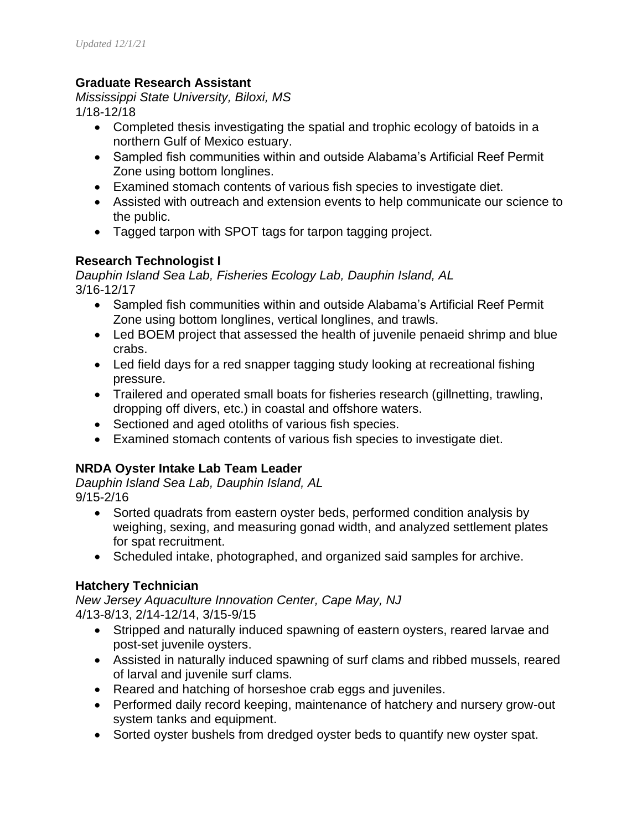## **Graduate Research Assistant**

*Mississippi State University, Biloxi, MS* 1/18-12/18

- Completed thesis investigating the spatial and trophic ecology of batoids in a northern Gulf of Mexico estuary.
- Sampled fish communities within and outside Alabama's Artificial Reef Permit Zone using bottom longlines.
- Examined stomach contents of various fish species to investigate diet.
- Assisted with outreach and extension events to help communicate our science to the public.
- Tagged tarpon with SPOT tags for tarpon tagging project.

### **Research Technologist I**

*Dauphin Island Sea Lab, Fisheries Ecology Lab, Dauphin Island, AL* 3/16-12/17

- Sampled fish communities within and outside Alabama's Artificial Reef Permit Zone using bottom longlines, vertical longlines, and trawls.
- Led BOEM project that assessed the health of juvenile penaeid shrimp and blue crabs.
- Led field days for a red snapper tagging study looking at recreational fishing pressure.
- Trailered and operated small boats for fisheries research (gillnetting, trawling, dropping off divers, etc.) in coastal and offshore waters.
- Sectioned and aged otoliths of various fish species.
- Examined stomach contents of various fish species to investigate diet.

# **NRDA Oyster Intake Lab Team Leader**

*Dauphin Island Sea Lab, Dauphin Island, AL* 9/15-2/16

- Sorted quadrats from eastern oyster beds, performed condition analysis by weighing, sexing, and measuring gonad width, and analyzed settlement plates for spat recruitment.
- Scheduled intake, photographed, and organized said samples for archive.

# **Hatchery Technician**

*New Jersey Aquaculture Innovation Center, Cape May, NJ* 4/13-8/13, 2/14-12/14, 3/15-9/15

- Stripped and naturally induced spawning of eastern oysters, reared larvae and post-set juvenile oysters.
- Assisted in naturally induced spawning of surf clams and ribbed mussels, reared of larval and juvenile surf clams.
- Reared and hatching of horseshoe crab eggs and juveniles.
- Performed daily record keeping, maintenance of hatchery and nursery grow-out system tanks and equipment.
- Sorted oyster bushels from dredged oyster beds to quantify new oyster spat.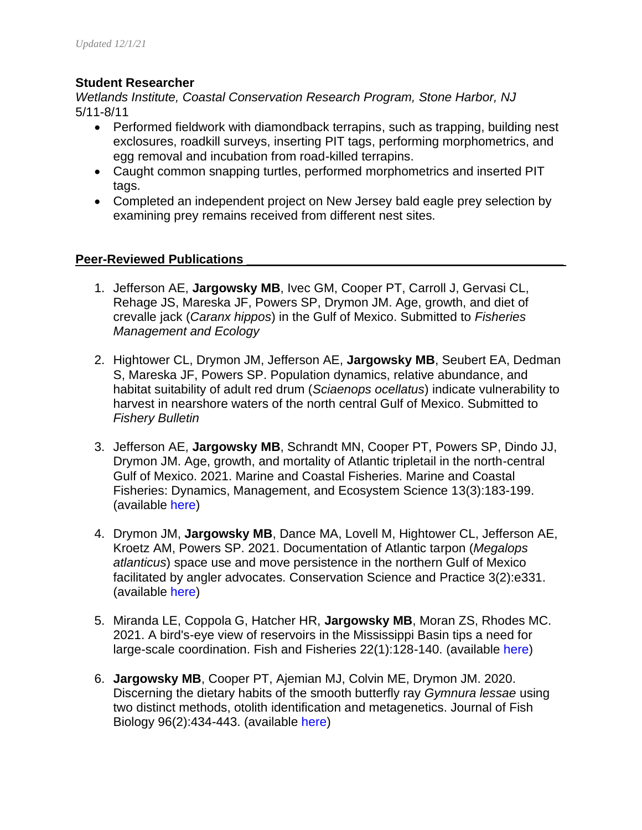#### **Student Researcher**

*Wetlands Institute, Coastal Conservation Research Program, Stone Harbor, NJ* 5/11-8/11

- Performed fieldwork with diamondback terrapins, such as trapping, building nest exclosures, roadkill surveys, inserting PIT tags, performing morphometrics, and egg removal and incubation from road-killed terrapins.
- Caught common snapping turtles, performed morphometrics and inserted PIT tags.
- Completed an independent project on New Jersey bald eagle prey selection by examining prey remains received from different nest sites.

#### **Peer-Reviewed Publications \_\_\_\_\_\_\_\_\_\_\_\_\_\_\_\_\_\_\_\_\_\_\_\_\_\_\_\_\_\_\_\_\_\_\_\_\_\_\_\_\_\_\_\_\_**

- 1. Jefferson AE, **Jargowsky MB**, Ivec GM, Cooper PT, Carroll J, Gervasi CL, Rehage JS, Mareska JF, Powers SP, Drymon JM. Age, growth, and diet of crevalle jack (*Caranx hippos*) in the Gulf of Mexico. Submitted to *Fisheries Management and Ecology*
- 2. Hightower CL, Drymon JM, Jefferson AE, **Jargowsky MB**, Seubert EA, Dedman S, Mareska JF, Powers SP. Population dynamics, relative abundance, and habitat suitability of adult red drum (*Sciaenops ocellatus*) indicate vulnerability to harvest in nearshore waters of the north central Gulf of Mexico. Submitted to *Fishery Bulletin*
- 3. Jefferson AE, **Jargowsky MB**, Schrandt MN, Cooper PT, Powers SP, Dindo JJ, Drymon JM. Age, growth, and mortality of Atlantic tripletail in the north-central Gulf of Mexico. 2021. Marine and Coastal Fisheries. Marine and Coastal Fisheries: Dynamics, Management, and Ecosystem Science 13(3):183-199. (available [here\)](http://coastal.msstate.edu/sites/coastal.msstate.edu/files/files/drymon/41.pdf)
- 4. Drymon JM, **Jargowsky MB**, Dance MA, Lovell M, Hightower CL, Jefferson AE, Kroetz AM, Powers SP. 2021. Documentation of Atlantic tarpon (*Megalops atlanticus*) space use and move persistence in the northern Gulf of Mexico facilitated by angler advocates. Conservation Science and Practice 3(2):e331. (available [here\)](http://coastal.msstate.edu/sites/coastal.msstate.edu/files/files/drymon/39.pdf)
- 5. Miranda LE, Coppola G, Hatcher HR, **Jargowsky MB**, Moran ZS, Rhodes MC. 2021. A bird's-eye view of reservoirs in the Mississippi Basin tips a need for large-scale coordination. Fish and Fisheries 22(1):128-140. (available [here\)](http://coastal.msstate.edu/sites/coastal.msstate.edu/files/files/drymon/38.pdf)
- 6. **Jargowsky MB**, Cooper PT, Ajemian MJ, Colvin ME, Drymon JM. 2020. Discerning the dietary habits of the smooth butterfly ray *Gymnura lessae* using two distinct methods, otolith identification and metagenetics. Journal of Fish Biology 96(2):434-443. (available [here\)](http://coastal.msstate.edu/sites/coastal.msstate.edu/files/files/drymon/33.pdf)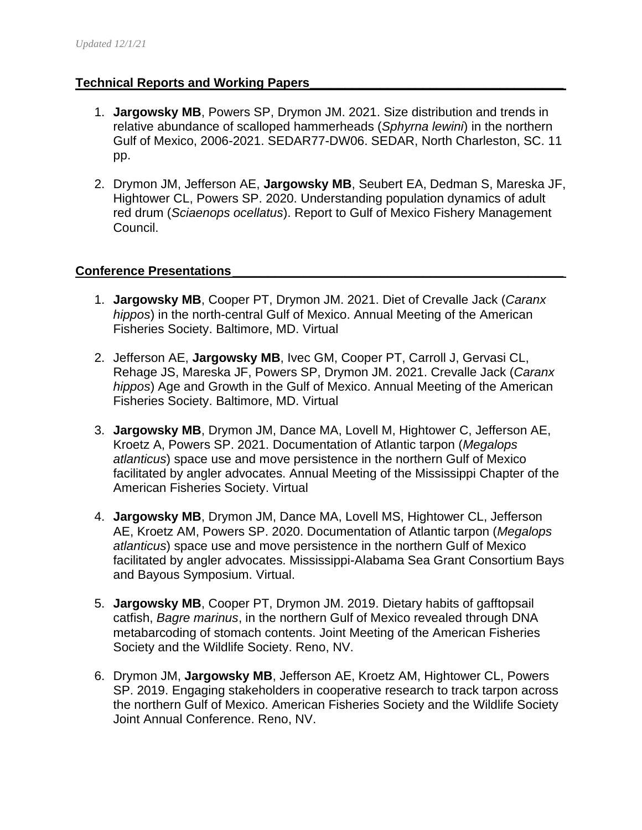#### **Technical Reports and Working Papers\_\_\_\_\_\_\_\_\_\_\_\_\_\_\_\_\_\_\_\_\_\_\_\_\_\_\_\_\_\_\_\_\_\_\_\_**

- 1. **Jargowsky MB**, Powers SP, Drymon JM. 2021. Size distribution and trends in relative abundance of scalloped hammerheads (*Sphyrna lewini*) in the northern Gulf of Mexico, 2006-2021. SEDAR77-DW06. SEDAR, North Charleston, SC. 11 pp.
- 2. Drymon JM, Jefferson AE, **Jargowsky MB**, Seubert EA, Dedman S, Mareska JF, Hightower CL, Powers SP. 2020. Understanding population dynamics of adult red drum (*Sciaenops ocellatus*). Report to Gulf of Mexico Fishery Management Council.

#### **Conference Presentations\_\_\_\_\_\_\_\_\_\_\_\_\_\_\_\_\_\_\_\_\_\_\_\_\_\_\_\_\_\_\_\_\_\_\_\_\_\_\_\_\_\_\_\_\_\_\_**

- 1. **Jargowsky MB**, Cooper PT, Drymon JM. 2021. Diet of Crevalle Jack (*Caranx hippos*) in the north-central Gulf of Mexico. Annual Meeting of the American Fisheries Society. Baltimore, MD. Virtual
- 2. Jefferson AE, **Jargowsky MB**, Ivec GM, Cooper PT, Carroll J, Gervasi CL, Rehage JS, Mareska JF, Powers SP, Drymon JM. 2021. Crevalle Jack (*Caranx hippos*) Age and Growth in the Gulf of Mexico. Annual Meeting of the American Fisheries Society. Baltimore, MD. Virtual
- 3. **Jargowsky MB**, Drymon JM, Dance MA, Lovell M, Hightower C, Jefferson AE, Kroetz A, Powers SP. 2021. Documentation of Atlantic tarpon (*Megalops atlanticus*) space use and move persistence in the northern Gulf of Mexico facilitated by angler advocates. Annual Meeting of the Mississippi Chapter of the American Fisheries Society. Virtual
- 4. **Jargowsky MB**, Drymon JM, Dance MA, Lovell MS, Hightower CL, Jefferson AE, Kroetz AM, Powers SP. 2020. Documentation of Atlantic tarpon (*Megalops atlanticus*) space use and move persistence in the northern Gulf of Mexico facilitated by angler advocates. Mississippi-Alabama Sea Grant Consortium Bays and Bayous Symposium. Virtual.
- 5. **Jargowsky MB**, Cooper PT, Drymon JM. 2019. Dietary habits of gafftopsail catfish, *Bagre marinus*, in the northern Gulf of Mexico revealed through DNA metabarcoding of stomach contents. Joint Meeting of the American Fisheries Society and the Wildlife Society. Reno, NV.
- 6. Drymon JM, **Jargowsky MB**, Jefferson AE, Kroetz AM, Hightower CL, Powers SP. 2019. Engaging stakeholders in cooperative research to track tarpon across the northern Gulf of Mexico. American Fisheries Society and the Wildlife Society Joint Annual Conference. Reno, NV.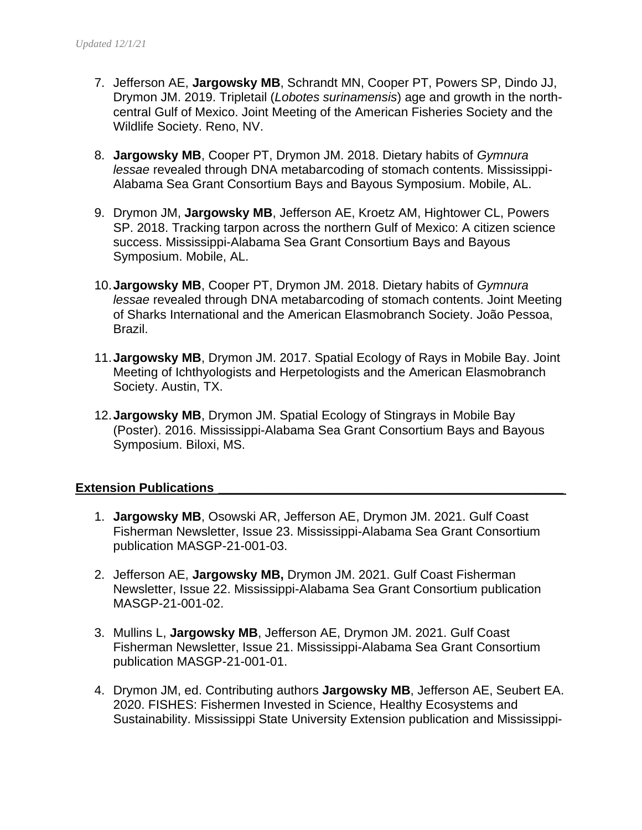- 7. Jefferson AE, **Jargowsky MB**, Schrandt MN, Cooper PT, Powers SP, Dindo JJ, Drymon JM. 2019. Tripletail (*Lobotes surinamensis*) age and growth in the northcentral Gulf of Mexico. Joint Meeting of the American Fisheries Society and the Wildlife Society. Reno, NV.
- 8. **Jargowsky MB**, Cooper PT, Drymon JM. 2018. Dietary habits of *Gymnura lessae* revealed through DNA metabarcoding of stomach contents. Mississippi-Alabama Sea Grant Consortium Bays and Bayous Symposium. Mobile, AL.
- 9. Drymon JM, **Jargowsky MB**, Jefferson AE, Kroetz AM, Hightower CL, Powers SP. 2018. Tracking tarpon across the northern Gulf of Mexico: A citizen science success. Mississippi-Alabama Sea Grant Consortium Bays and Bayous Symposium. Mobile, AL.
- 10.**Jargowsky MB**, Cooper PT, Drymon JM. 2018. Dietary habits of *Gymnura lessae* revealed through DNA metabarcoding of stomach contents. Joint Meeting of Sharks International and the American Elasmobranch Society. João Pessoa, Brazil.
- 11.**Jargowsky MB**, Drymon JM. 2017. Spatial Ecology of Rays in Mobile Bay. Joint Meeting of Ichthyologists and Herpetologists and the American Elasmobranch Society. Austin, TX.
- 12.**Jargowsky MB**, Drymon JM. Spatial Ecology of Stingrays in Mobile Bay (Poster). 2016. Mississippi-Alabama Sea Grant Consortium Bays and Bayous Symposium. Biloxi, MS.

#### **Extension Publications**

- 1. **Jargowsky MB**, Osowski AR, Jefferson AE, Drymon JM. 2021. Gulf Coast Fisherman Newsletter, Issue 23. Mississippi-Alabama Sea Grant Consortium publication MASGP-21-001-03.
- 2. Jefferson AE, **Jargowsky MB,** Drymon JM. 2021. Gulf Coast Fisherman Newsletter, Issue 22. Mississippi-Alabama Sea Grant Consortium publication MASGP-21-001-02.
- 3. Mullins L, **Jargowsky MB**, Jefferson AE, Drymon JM. 2021. Gulf Coast Fisherman Newsletter, Issue 21. Mississippi-Alabama Sea Grant Consortium publication MASGP-21-001-01.
- 4. Drymon JM, ed. Contributing authors **Jargowsky MB**, Jefferson AE, Seubert EA. 2020. FISHES: Fishermen Invested in Science, Healthy Ecosystems and Sustainability. Mississippi State University Extension publication and Mississippi-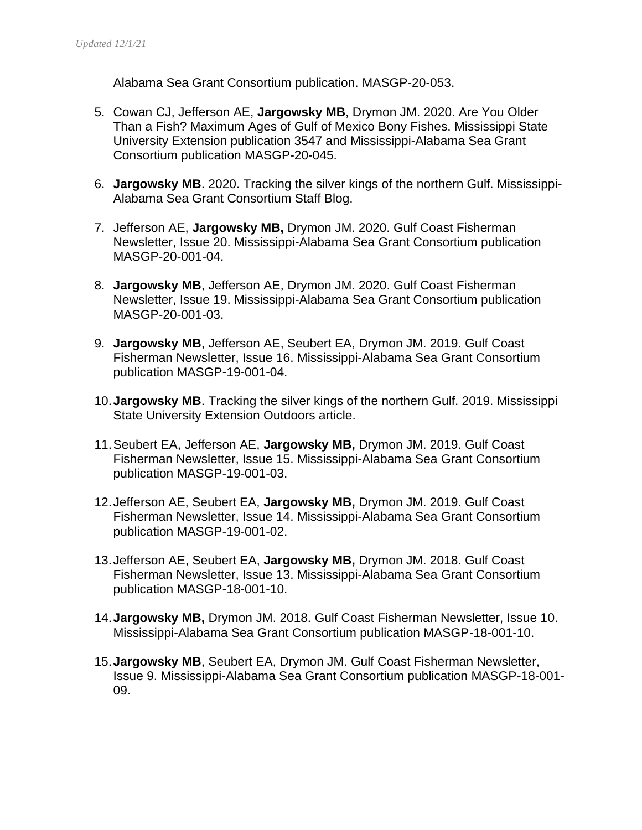Alabama Sea Grant Consortium publication. MASGP-20-053.

- 5. Cowan CJ, Jefferson AE, **Jargowsky MB**, Drymon JM. 2020. Are You Older Than a Fish? Maximum Ages of Gulf of Mexico Bony Fishes. Mississippi State University Extension publication 3547 and Mississippi-Alabama Sea Grant Consortium publication MASGP-20-045.
- 6. **Jargowsky MB**. 2020. Tracking the silver kings of the northern Gulf. Mississippi-Alabama Sea Grant Consortium Staff Blog.
- 7. Jefferson AE, **Jargowsky MB,** Drymon JM. 2020. Gulf Coast Fisherman Newsletter, Issue 20. Mississippi-Alabama Sea Grant Consortium publication MASGP-20-001-04.
- 8. **Jargowsky MB**, Jefferson AE, Drymon JM. 2020. Gulf Coast Fisherman Newsletter, Issue 19. Mississippi-Alabama Sea Grant Consortium publication MASGP-20-001-03.
- 9. **Jargowsky MB**, Jefferson AE, Seubert EA, Drymon JM. 2019. Gulf Coast Fisherman Newsletter, Issue 16. Mississippi-Alabama Sea Grant Consortium publication MASGP-19-001-04.
- 10.**Jargowsky MB**. Tracking the silver kings of the northern Gulf. 2019. Mississippi State University Extension Outdoors article.
- 11.Seubert EA, Jefferson AE, **Jargowsky MB,** Drymon JM. 2019. Gulf Coast Fisherman Newsletter, Issue 15. Mississippi-Alabama Sea Grant Consortium publication MASGP-19-001-03.
- 12.Jefferson AE, Seubert EA, **Jargowsky MB,** Drymon JM. 2019. Gulf Coast Fisherman Newsletter, Issue 14. Mississippi-Alabama Sea Grant Consortium publication MASGP-19-001-02.
- 13.Jefferson AE, Seubert EA, **Jargowsky MB,** Drymon JM. 2018. Gulf Coast Fisherman Newsletter, Issue 13. Mississippi-Alabama Sea Grant Consortium publication MASGP-18-001-10.
- 14.**Jargowsky MB,** Drymon JM. 2018. Gulf Coast Fisherman Newsletter, Issue 10. Mississippi-Alabama Sea Grant Consortium publication MASGP-18-001-10.
- 15.**Jargowsky MB**, Seubert EA, Drymon JM. Gulf Coast Fisherman Newsletter, Issue 9. Mississippi-Alabama Sea Grant Consortium publication MASGP-18-001- 09.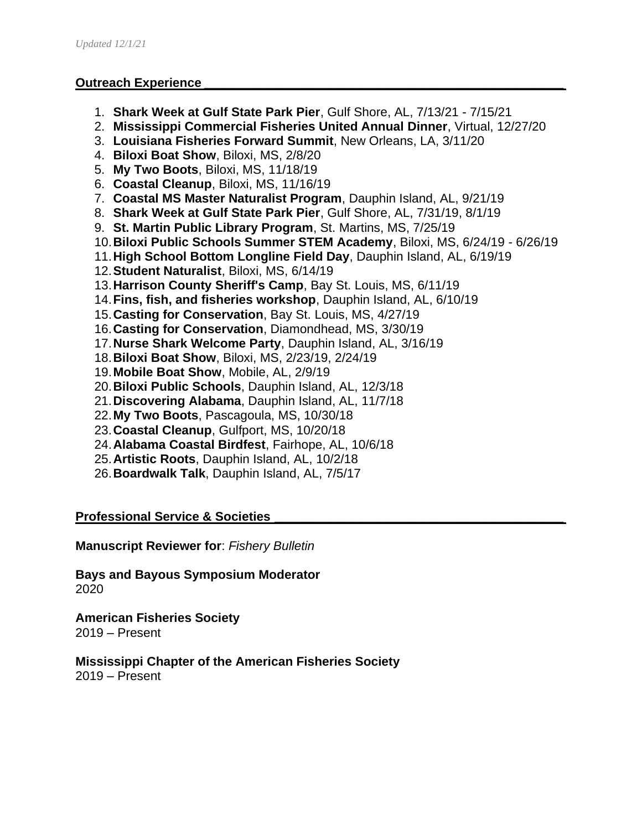#### **Outreach Experience**

- 1. **Shark Week at Gulf State Park Pier**, Gulf Shore, AL, 7/13/21 7/15/21
- 2. **Mississippi Commercial Fisheries United Annual Dinner**, Virtual, 12/27/20
- 3. **Louisiana Fisheries Forward Summit**, New Orleans, LA, 3/11/20
- 4. **Biloxi Boat Show**, Biloxi, MS, 2/8/20
- 5. **My Two Boots**, Biloxi, MS, 11/18/19
- 6. **Coastal Cleanup**, Biloxi, MS, 11/16/19
- 7. **Coastal MS Master Naturalist Program**, Dauphin Island, AL, 9/21/19
- 8. **Shark Week at Gulf State Park Pier**, Gulf Shore, AL, 7/31/19, 8/1/19
- 9. **St. Martin Public Library Program**, St. Martins, MS, 7/25/19
- 10.**Biloxi Public Schools Summer STEM Academy**, Biloxi, MS, 6/24/19 6/26/19
- 11.**High School Bottom Longline Field Day**, Dauphin Island, AL, 6/19/19
- 12.**Student Naturalist**, Biloxi, MS, 6/14/19
- 13.**Harrison County Sheriff's Camp**, Bay St. Louis, MS, 6/11/19
- 14.**Fins, fish, and fisheries workshop**, Dauphin Island, AL, 6/10/19
- 15.**Casting for Conservation**, Bay St. Louis, MS, 4/27/19
- 16.**Casting for Conservation**, Diamondhead, MS, 3/30/19
- 17.**Nurse Shark Welcome Party**, Dauphin Island, AL, 3/16/19
- 18.**Biloxi Boat Show**, Biloxi, MS, 2/23/19, 2/24/19
- 19.**Mobile Boat Show**, Mobile, AL, 2/9/19
- 20.**Biloxi Public Schools**, Dauphin Island, AL, 12/3/18
- 21.**Discovering Alabama**, Dauphin Island, AL, 11/7/18
- 22.**My Two Boots**, Pascagoula, MS, 10/30/18
- 23.**Coastal Cleanup**, Gulfport, MS, 10/20/18
- 24.**Alabama Coastal Birdfest**, Fairhope, AL, 10/6/18
- 25.**Artistic Roots**, Dauphin Island, AL, 10/2/18
- 26.**Boardwalk Talk**, Dauphin Island, AL, 7/5/17

**Professional Service & Societies \_\_\_\_\_\_\_\_\_\_\_\_\_\_\_\_\_\_\_\_\_\_\_\_\_\_\_\_\_\_\_\_\_\_\_\_\_\_\_\_\_**

**Manuscript Reviewer for**: *Fishery Bulletin*

**Bays and Bayous Symposium Moderator** 2020

**American Fisheries Society** 2019 – Present

**Mississippi Chapter of the American Fisheries Society** 2019 – Present